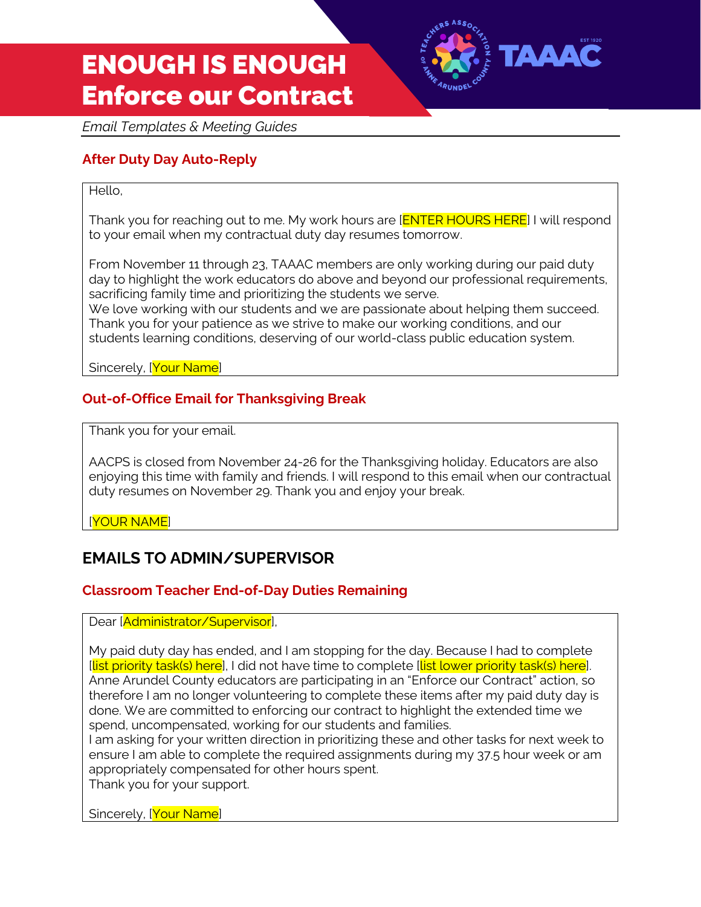

*Email Templates & Meeting Guides*

## **After Duty Day Auto-Reply**

#### Hello,

Thank you for reaching out to me. My work hours are [**ENTER HOURS HERE**] I will respond to your email when my contractual duty day resumes tomorrow.

From November 11 through 23, TAAAC members are only working during our paid duty day to highlight the work educators do above and beyond our professional requirements, sacrificing family time and prioritizing the students we serve.

We love working with our students and we are passionate about helping them succeed. Thank you for your patience as we strive to make our working conditions, and our students learning conditions, deserving of our world-class public education system.

Sincerely, [Your Name]

### **Out-of-Office Email for Thanksgiving Break**

Thank you for your email.

AACPS is closed from November 24-26 for the Thanksgiving holiday. Educators are also enjoying this time with family and friends. I will respond to this email when our contractual duty resumes on November 29. Thank you and enjoy your break.

[YOUR NAME]

# **EMAILS TO ADMIN/SUPERVISOR**

### **Classroom Teacher End-of-Day Duties Remaining**

Dear [Administrator/Supervisor],

My paid duty day has ended, and I am stopping for the day. Because I had to complete [list priority task(s) here], I did not have time to complete [list lower priority task(s) here]. Anne Arundel County educators are participating in an "Enforce our Contract" action, so therefore I am no longer volunteering to complete these items after my paid duty day is done. We are committed to enforcing our contract to highlight the extended time we spend, uncompensated, working for our students and families.

I am asking for your written direction in prioritizing these and other tasks for next week to ensure I am able to complete the required assignments during my 37.5 hour week or am appropriately compensated for other hours spent.

Thank you for your support.

Sincerely, [Your Name]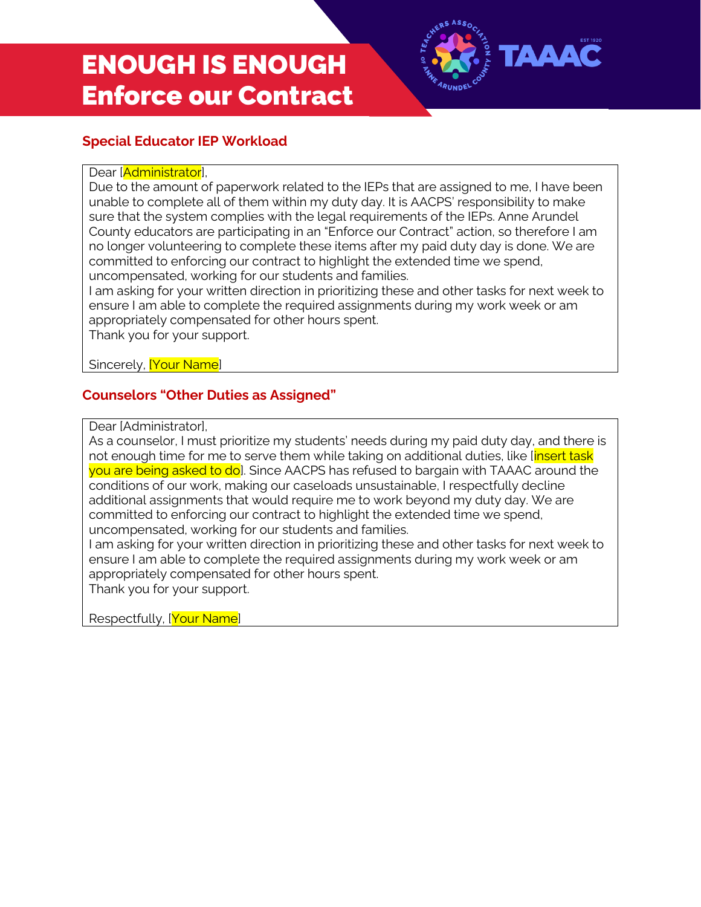

# **Special Educator IEP Workload**

#### Dear [Administrator],

Due to the amount of paperwork related to the IEPs that are assigned to me, I have been unable to complete all of them within my duty day. It is AACPS' responsibility to make sure that the system complies with the legal requirements of the IEPs. Anne Arundel County educators are participating in an "Enforce our Contract" action, so therefore I am no longer volunteering to complete these items after my paid duty day is done. We are committed to enforcing our contract to highlight the extended time we spend, uncompensated, working for our students and families.

I am asking for your written direction in prioritizing these and other tasks for next week to ensure I am able to complete the required assignments during my work week or am appropriately compensated for other hours spent.

Thank you for your support.

Sincerely, **[Your Name**]

## **Counselors "Other Duties as Assigned"**

Dear [Administrator],

As a counselor, I must prioritize my students' needs during my paid duty day, and there is not enough time for me to serve them while taking on additional duties, like linsert task you are being asked to do]. Since AACPS has refused to bargain with TAAAC around the conditions of our work, making our caseloads unsustainable, I respectfully decline additional assignments that would require me to work beyond my duty day. We are committed to enforcing our contract to highlight the extended time we spend, uncompensated, working for our students and families.

I am asking for your written direction in prioritizing these and other tasks for next week to ensure I am able to complete the required assignments during my work week or am appropriately compensated for other hours spent.

Thank you for your support.

Respectfully, [Your Name]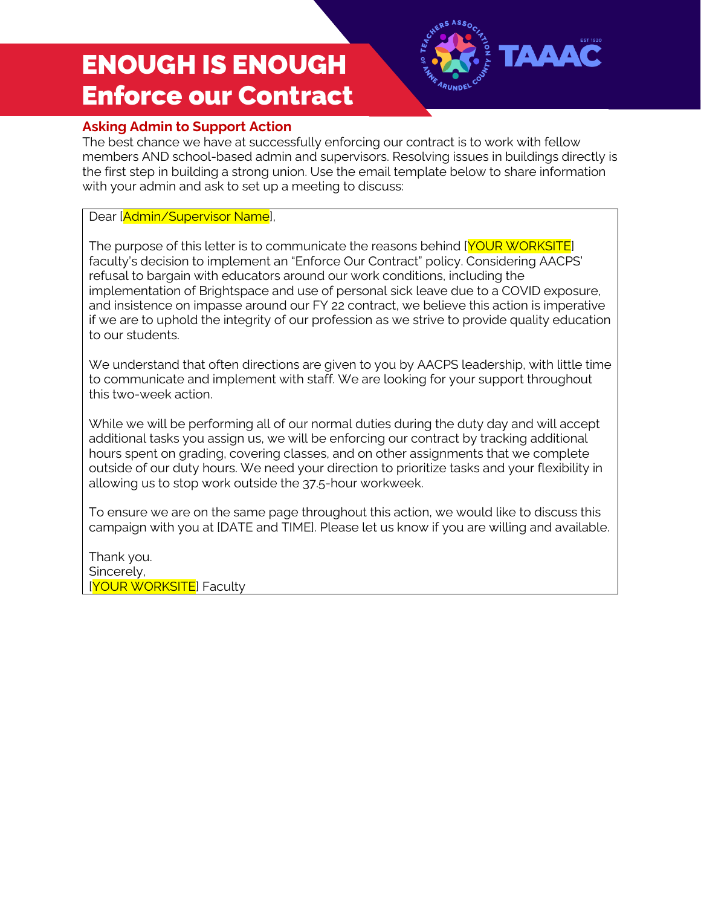

# **Asking Admin to Support Action**

The best chance we have at successfully enforcing our contract is to work with fellow members AND school-based admin and supervisors. Resolving issues in buildings directly is the first step in building a strong union. Use the email template below to share information with your admin and ask to set up a meeting to discuss:

#### Dear [Admin/Supervisor Name],

The purpose of this letter is to communicate the reasons behind [YOUR WORKSITE] faculty's decision to implement an "Enforce Our Contract" policy. Considering AACPS' refusal to bargain with educators around our work conditions, including the implementation of Brightspace and use of personal sick leave due to a COVID exposure, and insistence on impasse around our FY 22 contract, we believe this action is imperative if we are to uphold the integrity of our profession as we strive to provide quality education to our students.

We understand that often directions are given to you by AACPS leadership, with little time to communicate and implement with staff. We are looking for your support throughout this two-week action.

While we will be performing all of our normal duties during the duty day and will accept additional tasks you assign us, we will be enforcing our contract by tracking additional hours spent on grading, covering classes, and on other assignments that we complete outside of our duty hours. We need your direction to prioritize tasks and your flexibility in allowing us to stop work outside the 37.5-hour workweek.

To ensure we are on the same page throughout this action, we would like to discuss this campaign with you at [DATE and TIME]. Please let us know if you are willing and available.

Thank you. Sincerely, [YOUR WORKSITE] Faculty